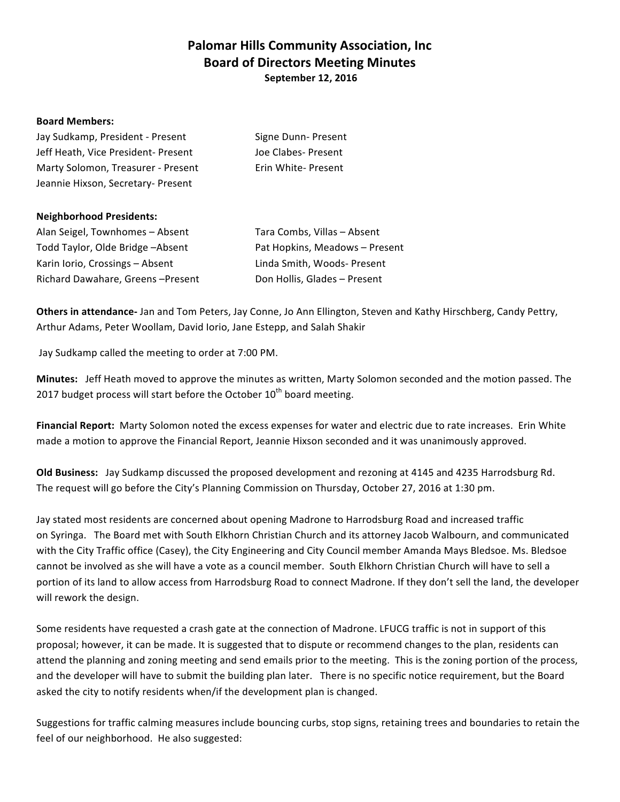# **Palomar Hills Community Association, Inc. Board of Directors Meeting Minutes September 12, 2016**

### **Board Members:**

| Jay Sudkamp, President - Present   | Signe Dunn-Present  |
|------------------------------------|---------------------|
| Jeff Heath, Vice President-Present | Joe Clabes- Present |
| Marty Solomon, Treasurer - Present | Erin White-Present  |
| Jeannie Hixson, Secretary- Present |                     |

### **Neighborhood Presidents:**

Alan Seigel, Townhomes – Absent Tara Combs, Villas – Absent Todd Taylor, Olde Bridge –Absent **Pat Hopkins, Meadows** – Present Karin Iorio, Crossings – Absent Linda Smith, Woods- Present Richard Dawahare, Greens -Present Don Hollis, Glades - Present

**Others in attendance-** Jan and Tom Peters, Jay Conne, Jo Ann Ellington, Steven and Kathy Hirschberg, Candy Pettry, Arthur Adams, Peter Woollam, David Iorio, Jane Estepp, and Salah Shakir

Jay Sudkamp called the meeting to order at 7:00 PM.

**Minutes:** Jeff Heath moved to approve the minutes as written, Marty Solomon seconded and the motion passed. The 2017 budget process will start before the October  $10^{th}$  board meeting.

Financial Report: Marty Solomon noted the excess expenses for water and electric due to rate increases. Erin White made a motion to approve the Financial Report, Jeannie Hixson seconded and it was unanimously approved.

**Old Business:** Jay Sudkamp discussed the proposed development and rezoning at 4145 and 4235 Harrodsburg Rd. The request will go before the City's Planning Commission on Thursday, October 27, 2016 at 1:30 pm.

Jay stated most residents are concerned about opening Madrone to Harrodsburg Road and increased traffic on Syringa. The Board met with South Elkhorn Christian Church and its attorney Jacob Walbourn, and communicated with the City Traffic office (Casey), the City Engineering and City Council member Amanda Mays Bledsoe. Ms. Bledsoe cannot be involved as she will have a vote as a council member. South Elkhorn Christian Church will have to sell a portion of its land to allow access from Harrodsburg Road to connect Madrone. If they don't sell the land, the developer will rework the design.

Some residents have requested a crash gate at the connection of Madrone. LFUCG traffic is not in support of this proposal; however, it can be made. It is suggested that to dispute or recommend changes to the plan, residents can attend the planning and zoning meeting and send emails prior to the meeting. This is the zoning portion of the process, and the developer will have to submit the building plan later. There is no specific notice requirement, but the Board asked the city to notify residents when/if the development plan is changed.

Suggestions for traffic calming measures include bouncing curbs, stop signs, retaining trees and boundaries to retain the feel of our neighborhood. He also suggested: